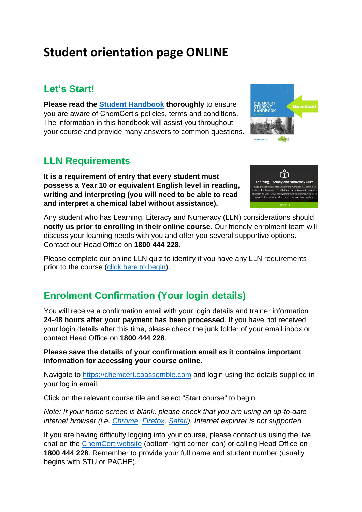# **Student orientation page ONLINE**

## **Let's Start!**

**Please read the [Student Handbook](https://www.chemcert.com.au/Student-resources/Student-pre-course/S3-Student-Handbook.pdf) thoroughly** to ensure you are aware of ChemCert's policies, terms and conditions. The information in this handbook will assist you throughout your course and provide many answers to common questions.

### **LLN Requirements**

**It is a requirement of entry that every student must possess a Year 10 or equivalent English level in reading, writing and interpreting (you will need to be able to read and interpret a chemical label without assistance).**



**Download** 

**CHEMCERT** 

Any student who has Learning, Literacy and Numeracy (LLN) considerations should **notify us prior to enrolling in their online course**. Our friendly enrolment team will discuss your learning needs with you and offer you several supportive options. Contact our Head Office on **1800 444 228**.

Please complete our online LLN quiz to identify if you have any LLN requirements prior to the course [\(click here to begin\)](https://form.jotform.co/91400704915855).

## **Enrolment Confirmation (Your login details)**

You will receive a confirmation email with your login details and trainer information **24-48 hours after your payment has been processed**. If you have not received your login details after this time, please check the junk folder of your email inbox or contact Head Office on **1800 444 228**.

#### **Please save the details of your confirmation email as it contains important information for accessing your course online.**

Navigate to [https://chemcert.coassemble.com](https://chemcert.coassemble.com/) and login using the details supplied in your log in email.

Click on the relevant course tile and select "Start course" to begin.

*Note: If your home screen is blank, please check that you are using an up-to-date internet browser (i.e. [Chrome,](https://www.google.com/intl/en_au/chrome/browser/) [Firefox,](http://www.mozilla.com/) [Safari\)](https://support.apple.com/en_AU/downloads/safari). Internet explorer is not supported.*

If you are having difficulty logging into your course, please contact us using the live chat on the [ChemCert](https://www.chemcert.com.au/) website (bottom-right corner icon) or calling Head Office on **1800 444 228**. Remember to provide your full name and student number (usually begins with STU or PACHE).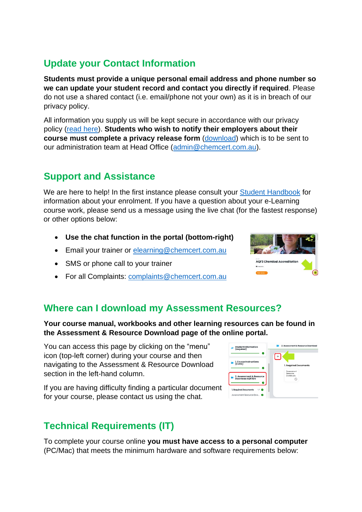## **Update your Contact Information**

**Students must provide a unique personal email address and phone number so we can update your student record and contact you directly if required**. Please do not use a shared contact (i.e. email/phone not your own) as it is in breach of our privacy policy.

All information you supply us will be kept secure in accordance with our privacy policy [\(read here\)](https://rebrand.ly/P4-ChemCert-Privacy-Policy). **Students who wish to notify their employers about their course must complete a privacy release form** [\(download\)](https://rebrand.ly/A27-Employee-Privacy-Release) which is to be sent to our administration team at Head Office [\(admin@chemcert.com.au\)](mailto:admin@chemcert.com.au).

## **Support and Assistance**

We are here to help! In the first instance please consult your [Student Handbook](http://www.chemcert.com.au/Student-resources/Student-pre-course/S3-Student-Handbook.pdf) for information about your enrolment. If you have a question about your e-Learning course work, please send us a message using the live chat (for the fastest response) or other options below:

- **Use the chat function in the portal (bottom-right)**
- Email your trainer or [elearning@chemcert.com.au](mailto:elearning@chemcert.com.au)
- SMS or phone call to your trainer
- For all Complaints: [complaints@chemcert.com.au](mailto:complaints@chemcert.com.au)

### **Where can I download my Assessment Resources?**

**Your course manual, workbooks and other learning resources can be found in the Assessment & Resource Download page of the online portal.**

You can access this page by clicking on the "menu" icon (top-left corner) during your course and then navigating to the Assessment & Resource Download section in the left-hand column.

If you are having difficulty finding a particular document for your course, please contact us using the chat.

## **Technical Requirements (IT)**

To complete your course online **you must have access to a personal computer** (PC/Mac) that meets the minimum hardware and software requirements below:



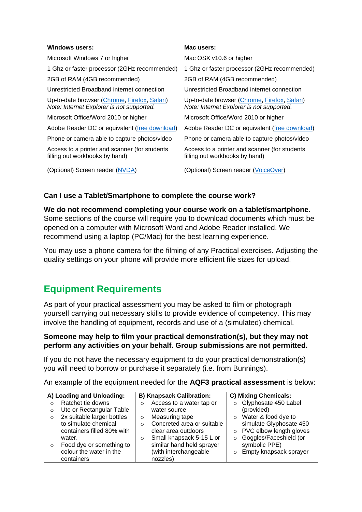| <b>Windows users:</b>                                                                     | Mac users:                                                                                |
|-------------------------------------------------------------------------------------------|-------------------------------------------------------------------------------------------|
| Microsoft Windows 7 or higher                                                             | Mac OSX v10.6 or higher                                                                   |
| 1 Ghz or faster processor (2GHz recommended)                                              | 1 Ghz or faster processor (2GHz recommended)                                              |
| 2GB of RAM (4GB recommended)                                                              | 2GB of RAM (4GB recommended)                                                              |
| Unrestricted Broadband internet connection                                                | Unrestricted Broadband internet connection                                                |
| Up-to-date browser (Chrome, Firefox, Safari)<br>Note: Internet Explorer is not supported. | Up-to-date browser (Chrome, Firefox, Safari)<br>Note: Internet Explorer is not supported. |
| Microsoft Office/Word 2010 or higher                                                      | Microsoft Office/Word 2010 or higher                                                      |
| Adobe Reader DC or equivalent (free download)                                             | Adobe Reader DC or equivalent (free download)                                             |
| Phone or camera able to capture photos/video                                              | Phone or camera able to capture photos/video                                              |
| Access to a printer and scanner (for students<br>filling out workbooks by hand)           | Access to a printer and scanner (for students<br>filling out workbooks by hand)           |
| (Optional) Screen reader (NVDA)                                                           | (Optional) Screen reader (VoiceOver)                                                      |

### **Can I use a Tablet/Smartphone to complete the course work?**

**We do not recommend completing your course work on a tablet/smartphone.** Some sections of the course will require you to download documents which must be opened on a computer with Microsoft Word and Adobe Reader installed. We recommend using a laptop (PC/Mac) for the best learning experience.

You may use a phone camera for the filming of any Practical exercises. Adjusting the quality settings on your phone will provide more efficient file sizes for upload.

## **Equipment Requirements**

As part of your practical assessment you may be asked to film or photograph yourself carrying out necessary skills to provide evidence of competency. This may involve the handling of equipment, records and use of a (simulated) chemical.

#### **Someone may help to film your practical demonstration(s), but they may not perform any activities on your behalf. Group submissions are not permitted.**

If you do not have the necessary equipment to do your practical demonstration(s) you will need to borrow or purchase it separately (i.e. from Bunnings).

An example of the equipment needed for the **AQF3 practical assessment** is below:

| A) Loading and Unloading: |                            | <b>B) Knapsack Calibration:</b> |                            | C) Mixing Chemicals: |                           |
|---------------------------|----------------------------|---------------------------------|----------------------------|----------------------|---------------------------|
|                           | Ratchet tie downs          | O                               | Access to a water tap or   | $\circ$              | Glyphosate 450 Label      |
| O                         | Ute or Rectangular Table   |                                 | water source               |                      | (provided)                |
| $\Omega$                  | 2x suitable larger bottles | $\circ$                         | Measuring tape             | $\circ$              | Water & food dye to       |
|                           | to simulate chemical       | $\bigcirc$                      | Concreted area or suitable |                      | simulate Glyphosate 450   |
|                           | containers filled 80% with |                                 | clear area outdoors        |                      | o PVC elbow length gloves |
|                           | water.                     | $\circ$                         | Small knapsack 5-15 L or   | $\circ$              | Goggles/Faceshield (or    |
| O                         | Food dye or something to   |                                 | similar hand held sprayer  |                      | symbolic PPE)             |
|                           | colour the water in the    |                                 | (with interchangeable      | $\circ$              | Empty knapsack sprayer    |
|                           | containers                 |                                 | nozzles)                   |                      |                           |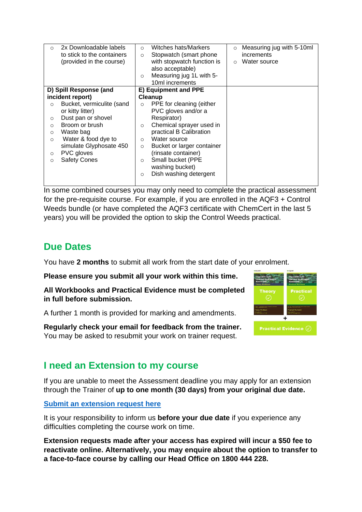| O                      | 2x Downloadable labels<br>to stick to the containers<br>(provided in the course) | $\Omega$<br>$\circ$<br>$\Omega$ | Witches hats/Markers<br>Stopwatch (smart phone)<br>with stopwatch function is<br>also acceptable)<br>Measuring jug 1L with 5-<br>10ml increments | $\circ$<br>$\circ$ | Measuring jug with 5-10ml<br><i>increments</i><br>Water source |
|------------------------|----------------------------------------------------------------------------------|---------------------------------|--------------------------------------------------------------------------------------------------------------------------------------------------|--------------------|----------------------------------------------------------------|
| D) Spill Response (and |                                                                                  | E) Equipment and PPE            |                                                                                                                                                  |                    |                                                                |
|                        | incident report)                                                                 |                                 | Cleanup                                                                                                                                          |                    |                                                                |
| $\circ$                | Bucket, vermiculite (sand                                                        | $\Omega$                        | PPE for cleaning (either                                                                                                                         |                    |                                                                |
|                        | or kitty litter)                                                                 |                                 | PVC gloves and/or a                                                                                                                              |                    |                                                                |
| $\circ$                | Dust pan or shovel                                                               |                                 | Respirator)                                                                                                                                      |                    |                                                                |
| $\Omega$               | Broom or brush                                                                   | $\circ$                         | Chemical sprayer used in                                                                                                                         |                    |                                                                |
| $\circ$                | Waste bag                                                                        |                                 | practical B Calibration                                                                                                                          |                    |                                                                |
| $\Omega$               | Water & food dye to                                                              | $\Omega$                        | Water source                                                                                                                                     |                    |                                                                |
|                        | simulate Glyphosate 450                                                          | $\circ$                         | Bucket or larger container                                                                                                                       |                    |                                                                |
| $\circ$                | PVC gloves                                                                       |                                 | (rinsate container)                                                                                                                              |                    |                                                                |
| O                      | <b>Safety Cones</b>                                                              | $\circ$                         | Small bucket (PPE<br>washing bucket)                                                                                                             |                    |                                                                |
|                        |                                                                                  | $\circ$                         | Dish washing detergent                                                                                                                           |                    |                                                                |
|                        |                                                                                  |                                 |                                                                                                                                                  |                    |                                                                |

In some combined courses you may only need to complete the practical assessment for the pre-requisite course. For example, if you are enrolled in the AQF3 + Control Weeds bundle (or have completed the AQF3 certificate with ChemCert in the last 5 years) you will be provided the option to skip the Control Weeds practical.

### **Due Dates**

You have **2 months** to submit all work from the start date of your enrolment.

**Please ensure you submit all your work within this time.**

**All Workbooks and Practical Evidence must be completed in full before submission.**

A further 1 month is provided for marking and amendments.

**Regularly check your email for feedback from the trainer.** You may be asked to resubmit your work on trainer request.



### **I need an Extension to my course**

If you are unable to meet the Assessment deadline you may apply for an extension through the Trainer of **up to one month (30 days) from your original due date.**

#### **[Submit an extension request here](https://rebrand.ly/extension-request)**

It is your responsibility to inform us **before your due date** if you experience any difficulties completing the course work on time.

**Extension requests made after your access has expired will incur a \$50 fee to reactivate online. Alternatively, you may enquire about the option to transfer to a face-to-face course by calling our Head Office on 1800 444 228.**